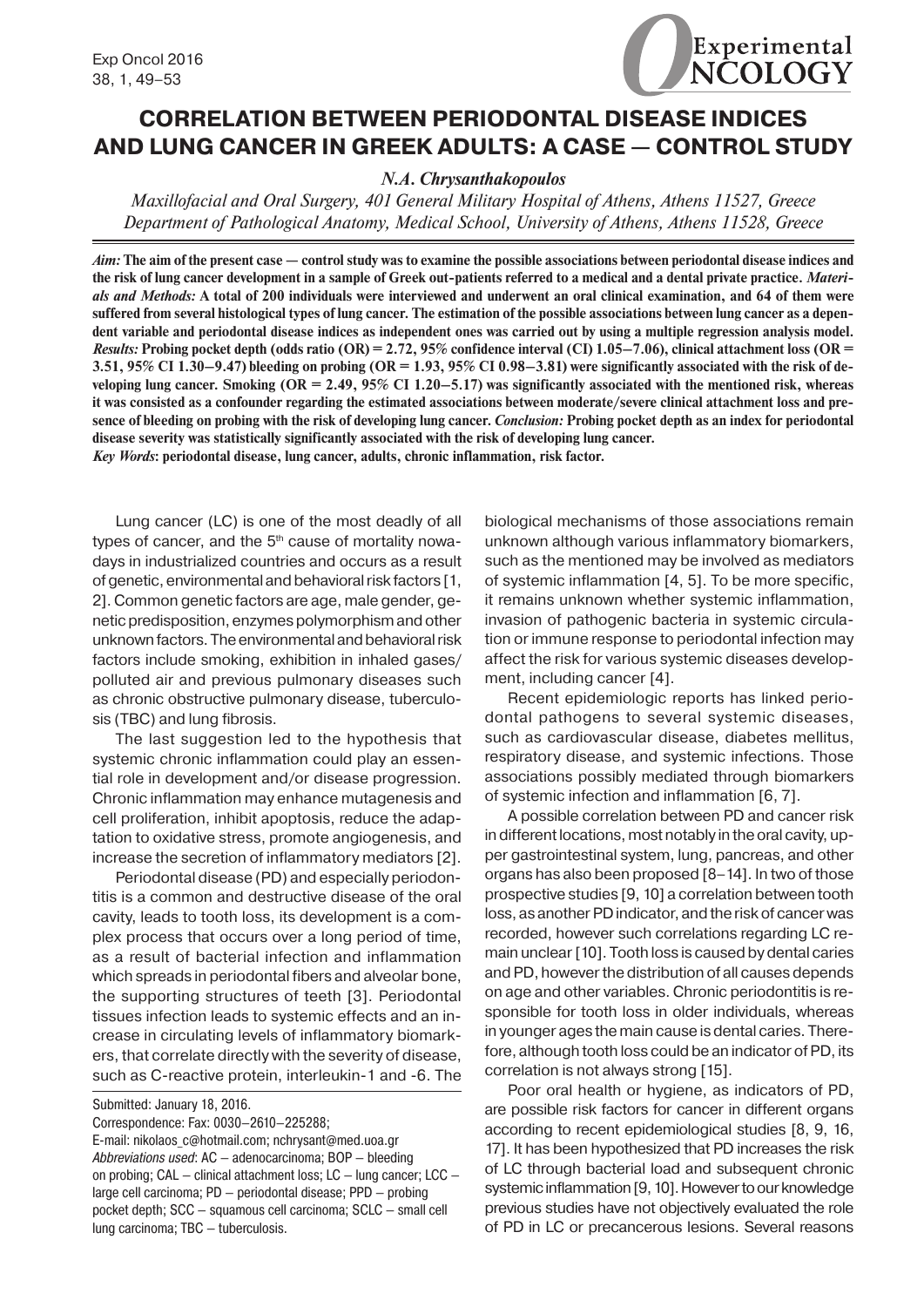# **CORRELATION BETWEEN PERIODONTAL DISEASE INDICES AND LUNG CANCER IN GREEK ADULTS: A CASE — CONTROL STUDY**

# *N.A. Chrysanthakopoulos*

*Maxillofacial and Oral Surgery, 401 General Military Hospital of Athens, Athens 11527, Greece Department of Pathological Anatomy, Medical School, University of Athens, Athens 11528, Greece*

*Aim:* **The aim of the present case — control study was to examine the possible associations between periodontal disease indices and the risk of lung cancer development in a sample of Greek out-patients referred to a medical and a dental private practice.** *Materials and Methods:* **A total of 200 individuals were interviewed and underwent an oral clinical examination, and 64 of them were suffered from several histological types of lung cancer. The estimation of the possible associations between lung cancer as a dependent variable and periodontal disease indices as independent ones was carried out by using a multiple regression analysis model.**  *Results:* **Probing pocket depth (odds ratio (OR) = 2.72, 95% confidence interval (CI) 1.05–7.06), clinical attachment loss (OR = 3.51, 95% CI 1.30–9.47) bleeding on probing (OR = 1.93, 95% CI 0.98–3.81) were significantly associated with the risk of developing lung cancer. Smoking (OR = 2.49, 95% CI 1.20–5.17) was significantly associated with the mentioned risk, whereas it was consisted as a confounder regarding the estimated associations between moderate/severe clinical attachment loss and presence of bleeding on probing with the risk of developing lung cancer.** *Conclusion:* **Probing pocket depth as an index for periodontal disease severity was statistically significantly associated with the risk of developing lung cancer.** *Key Words***: periodontal disease, lung cancer, adults, chronic inflammation, risk factor.**

Lung cancer (LC) is one of the most deadly of all types of cancer, and the  $5<sup>th</sup>$  cause of mortality nowadays in industrialized countries and occurs as a result of genetic, environmental and behavioral risk factors [1, 2]. Common genetic factors are age, male gender, genetic predisposition, enzymes polymorphism and other unknown factors. The environmental and behavioral risk factors include smoking, exhibition in inhaled gases/ polluted air and previous pulmonary diseases such as chronic obstructive pulmonary disease, tuberculosis (TBC) and lung fibrosis.

The last suggestion led to the hypothesis that systemic chronic inflammation could play an essential role in development and/or disease progression. Chronic inflammation may enhance mutagenesis and cell proliferation, inhibit apoptosis, reduce the adaptation to oxidative stress, promote angiogenesis, and increase the secretion of inflammatory mediators [2].

Periodontal disease (PD) and especially periodontitis is a common and destructive disease of the oral cavity, leads to tooth loss, its development is a complex process that occurs over a long period of time, as a result of bacterial infection and inflammation which spreads in periodontal fibers and alveolar bone, the supporting structures of teeth [3]. Periodontal tissues infection leads to systemic effects and an increase in circulating levels of inflammatory biomarkers, that correlate directly with the severity of disease, such as C-reactive protein, interleukin-1 and -6. The

Submitted: January 18, 2016.

Correspondence: Fax: 0030–2610–225288;

E-mail: nikolaos\_c@hotmail.com; nchrysant@med.uoa.gr *Abbreviations used*: AC — adenocarcinoma; BOP — bleeding on probing; CAL — clinical attachment loss; LC — lung cancer; LCC large cell carcinoma; PD — periodontal disease; PPD — probing pocket depth; SCC — squamous cell carcinoma; SCLC — small cell lung carcinoma; TBC — tuberculosis.

biological mechanisms of those associations remain unknown although various inflammatory biomarkers, such as the mentioned may be involved as mediators of systemic inflammation [4, 5]. To be more specific, it remains unknown whether systemic inflammation, invasion of pathogenic bacteria in systemic circulation or immune response to periodontal infection may affect the risk for various systemic diseases development, including cancer [4].

Experimental

NCOLOGY

Recent epidemiologic reports has linked periodontal pathogens to several systemic diseases, such as cardiovascular disease, diabetes mellitus, respiratory disease, and systemic infections. Those associations possibly mediated through biomarkers of systemic infection and inflammation [6, 7].

A possible correlation between PD and cancer risk in different locations, most notably in the oral cavity, upper gastrointestinal system, lung, pancreas, and other organs has also been proposed [8–14]. In two of those prospective studies [9, 10] a correlation between tooth loss, as another PD indicator, and the risk of cancer was recorded, however such correlations regarding LC remain unclear [10]. Tooth loss is caused by dental caries and PD, however the distribution of all causes depends on age and other variables. Chronic periodontitis is responsible for tooth loss in older individuals, whereas in younger ages the main cause is dental caries. Therefore, although tooth loss could be an indicator of PD, its correlation is not always strong [15].

Poor oral health or hygiene, as indicators of PD, are possible risk factors for cancer in different organs according to recent epidemiological studies [8, 9, 16, 17]. It has been hypothesized that PD increases the risk of LC through bacterial load and subsequent chronic systemic inflammation [9, 10]. However to our knowledge previous studies have not objectively evaluated the role of PD in LC or precancerous lesions. Several reasons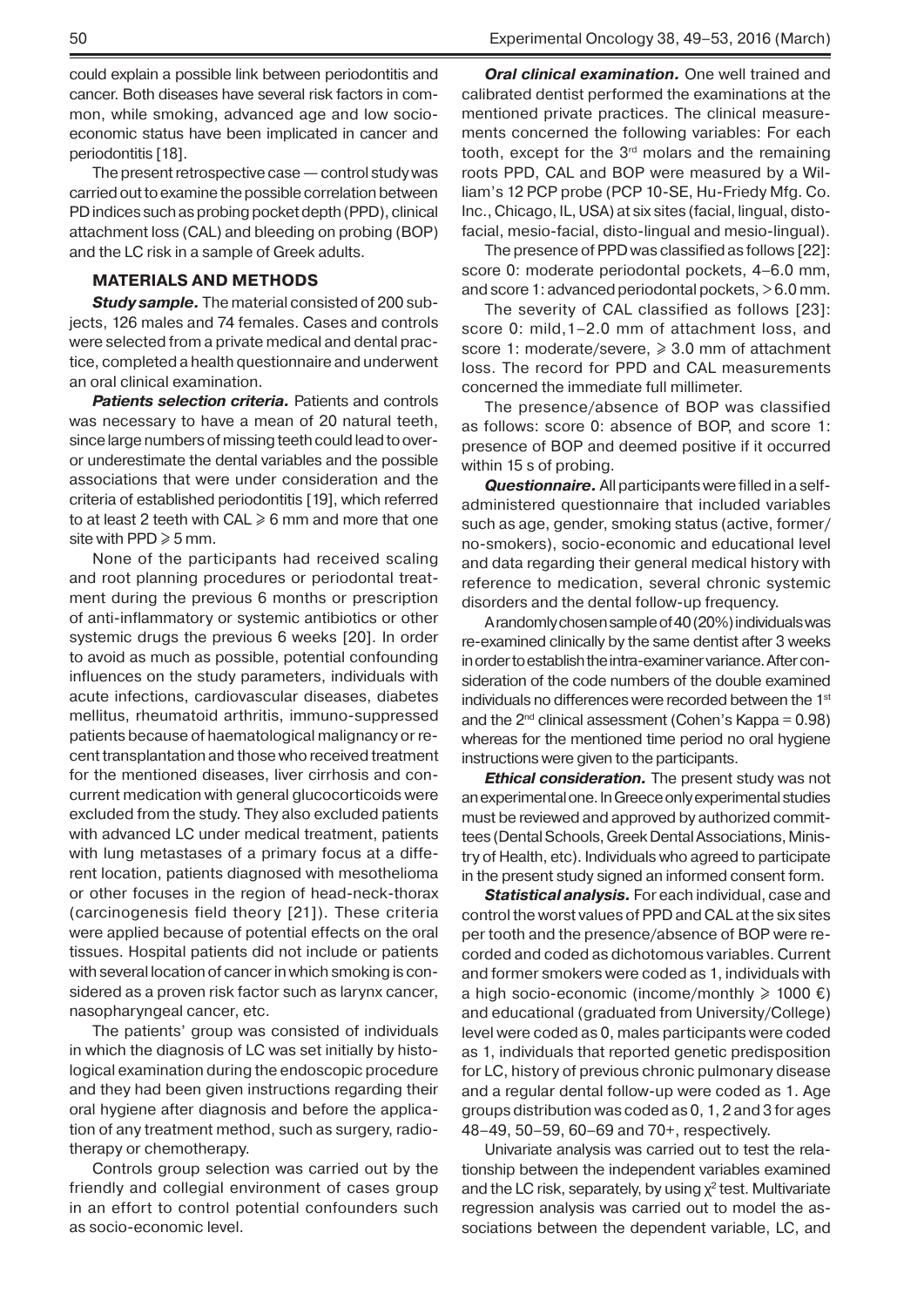could explain a possible link between periodontitis and cancer. Both diseases have several risk factors in common, while smoking, advanced age and low socioeconomic status have been implicated in cancer and periodontitis [18].

The present retrospective case— control study was carried out to examine the possible correlation between PD indices such as probing pocket depth (PPD), clinical attachment loss (CAL) and bleeding on probing (BOP) and the LC risk in a sample of Greek adults.

### **MATERIALS AND METHODS**

*Study sample.* The material consisted of 200 subjects, 126 males and 74 females. Cases and controls were selected from a private medical and dental practice, completed a health questionnaire and underwent an oral clinical examination.

**Patients selection criteria.** Patients and controls was necessary to have a mean of 20 natural teeth, since large numbers of missing teeth could lead to overor underestimate the dental variables and the possible associations that were under consideration and the criteria of established periodontitis [19], which referred to at least 2 teeth with  $CAL \ge 6$  mm and more that one site with PPD  $\geqslant$  5 mm.

None of the participants had received scaling and root planning procedures or periodontal treatment during the previous 6 months or prescription of anti-inflammatory or systemic antibiotics or other systemic drugs the previous 6 weeks [20]. In order to avoid as much as possible, potential confounding influences on the study parameters, individuals with acute infections, cardiovascular diseases, diabetes mellitus, rheumatoid arthritis, immuno-suppressed patients because of haematological malignancy or recent transplantation and those who received treatment for the mentioned diseases, liver cirrhosis and concurrent medication with general glucocorticoids were excluded from the study. They also excluded patients with advanced LC under medical treatment, patients with lung metastases of a primary focus at a different location, patients diagnosed with mesothelioma or other focuses in the region of head-neck-thorax (carcinogenesis field theory [21]). These criteria were applied because of potential effects on the oral tissues. Hospital patients did not include or patients with several location of cancer in which smoking is considered as a proven risk factor such as larynx cancer, nasopharyngeal cancer, etc.

The patients' group was consisted of individuals in which the diagnosis of LC was set initially by histological examination during the endoscopic procedure and they had been given instructions regarding their oral hygiene after diagnosis and before the application of any treatment method, such as surgery, radiotherapy or chemotherapy.

Controls group selection was carried out by the friendly and collegial environment of cases group in an effort to control potential confounders such as socio-economic level.

*Oral clinical examination.* One well trained and calibrated dentist performed the examinations at the mentioned private practices. The clinical measurements concerned the following variables: For each tooth, except for the  $3<sup>rd</sup>$  molars and the remaining roots PPD, CAL and BOP were measured by a William's 12 PCP probe (PCP 10-SE, Hu-Friedy Mfg. Co. Inc., Chicago, IL, USA) at six sites (facial, lingual, distofacial, mesio-facial, disto-lingual and mesio-lingual).

The presence of PPD was classified as follows [22]: score 0: moderate periodontal pockets, 4–6.0 mm, and score 1: advanced periodontal pockets, > 6.0 mm.

The severity of CAL classified as follows [23]: score 0: mild,1–2.0 mm of attachment loss, and score 1: moderate/severe, ≥ 3.0 mm of attachment loss. The record for PPD and CAL measurements concerned the immediate full millimeter.

The presence/absence of BOP was classified as follows: score 0: absence of BOP, and score 1: presence of BOP and deemed positive if it occurred within 15 s of probing.

*Questionnaire.* All participants were filled in a selfadministered questionnaire that included variables such as age, gender, smoking status (active, former/ no-smokers), socio-economic and educational level and data regarding their general medical history with reference to medication, several chronic systemic disorders and the dental follow-up frequency.

A randomly chosen sample of 40 (20%) individuals was re-examined clinically by the same dentist after 3 weeks in order to establish the intra-examiner variance. After consideration of the code numbers of the double examined individuals no differences were recorded between the 1<sup>st</sup> and the  $2^{nd}$  clinical assessment (Cohen's Kappa = 0.98) whereas for the mentioned time period no oral hygiene instructions were given to the participants.

*Ethical consideration.* The present study was not an experimental one. In Greece only experimental studies must be reviewed and approved by authorized committees (Dental Schools, Greek Dental Associations, Ministry of Health, etc). Individuals who agreed to participate in the present study signed an informed consent form.

*Statistical analysis.* For each individual, case and control the worst values of PPD and CAL at the six sites per tooth and the presence/absence of BOP were recorded and coded as dichotomous variables. Current and former smokers were coded as 1, individuals with a high socio-economic (income/monthly  $\geq 1000 \epsilon$ ) and educational (graduated from University/College) level were coded as 0, males participants were coded as 1, individuals that reported genetic predisposition for LC, history of previous chronic pulmonary disease and a regular dental follow-up were coded as 1. Age groups distribution was coded as 0, 1, 2 and 3 for ages 48–49, 50–59, 60–69 and 70+, respectively.

Univariate analysis was carried out to test the relationship between the independent variables examined and the LC risk, separately, by using  $\chi^2$  test. Multivariate regression analysis was carried out to model the associations between the dependent variable, LC, and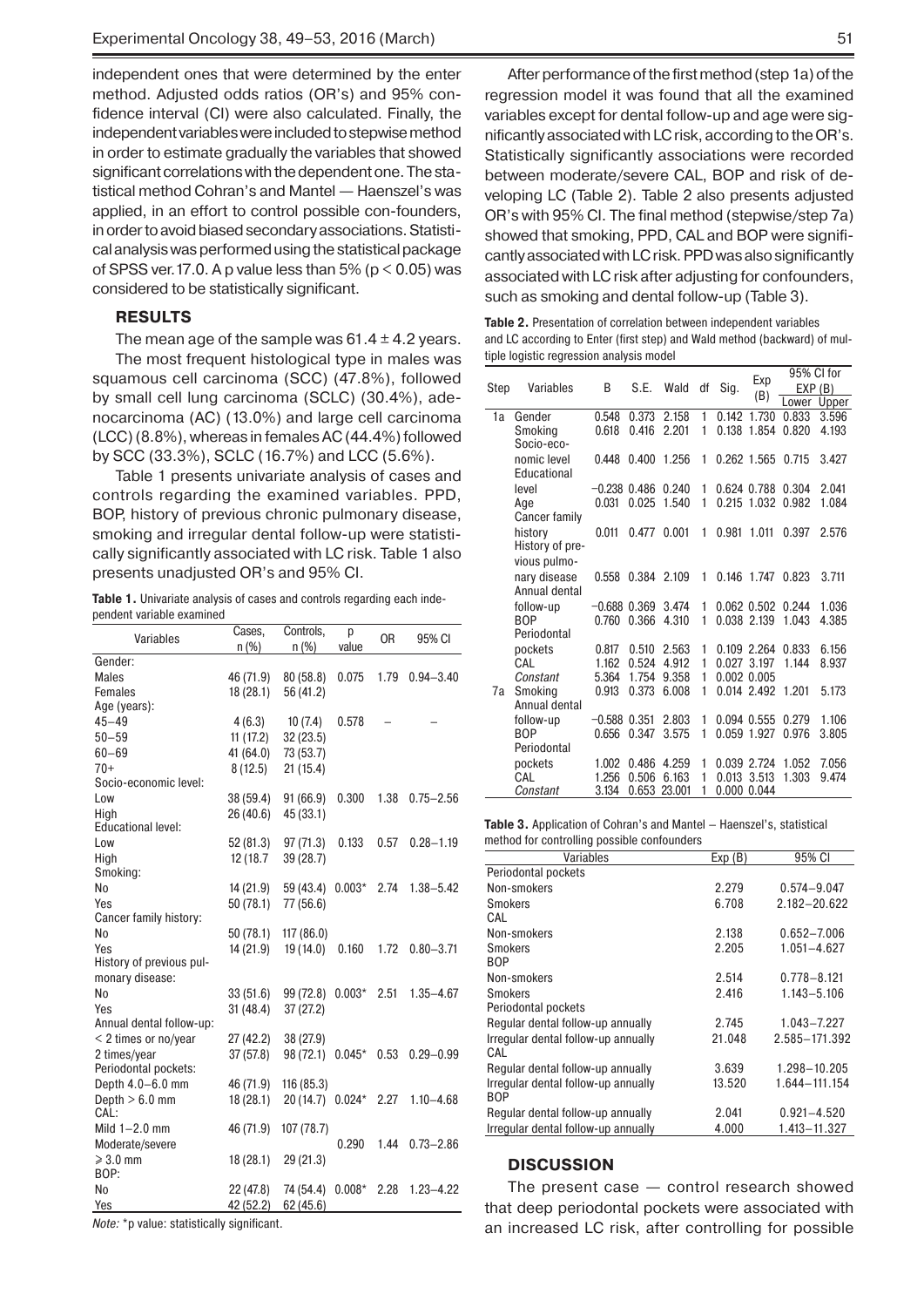independent ones that were determined by the enter method. Adjusted odds ratios (OR's) and 95% confidence interval (CI) were also calculated. Finally, the independent variables were included to stepwise method in order to estimate gradually the variables that showed significant correlations with the dependent one. The statistical method Cohran's and Mantel — Haenszel's was applied, in an effort to control possible con-founders, in order to avoid biased secondary associations. Statistical analysis was performed using the statistical package of SPSS ver. 17.0. A p value less than 5% ( $p < 0.05$ ) was considered to be statistically significant.

#### **RESULTS**

The mean age of the sample was  $61.4 \pm 4.2$  years. The most frequent histological type in males was squamous cell carcinoma (SCC) (47.8%), followed by small cell lung carcinoma (SCLC) (30.4%), adenocarcinoma (AC) (13.0%) and large cell carcinoma (LCC) (8.8%), whereas in females AC (44.4%) followed by SCC (33.3%), SCLC (16.7%) and LCC (5.6%).

Table 1 presents univariate analysis of cases and controls regarding the examined variables. PPD, BOP, history of previous chronic pulmonary disease, smoking and irregular dental follow-up were statistically significantly associated with LC risk. Table 1 also presents unadjusted OR's and 95% CI.

**Table 1.** Univariate analysis of cases and controls regarding each independent variable examined

| 0 <sub>R</sub><br>Variables<br>95% CI<br>n(%)<br>n(%)<br>value<br>Gender:<br>0.075<br>1.79<br><b>Males</b><br>46 (71.9)<br>80 (58.8)<br>$0.94 - 3.40$<br>Females<br>18 (28.1)<br>56 (41.2)<br>Age (years):<br>$45 - 49$<br>0.578<br>4(6.3)<br>10(7.4)<br>$50 - 59$<br>11(17.2)<br>32(23.5) |
|--------------------------------------------------------------------------------------------------------------------------------------------------------------------------------------------------------------------------------------------------------------------------------------------|
|                                                                                                                                                                                                                                                                                            |
|                                                                                                                                                                                                                                                                                            |
|                                                                                                                                                                                                                                                                                            |
|                                                                                                                                                                                                                                                                                            |
|                                                                                                                                                                                                                                                                                            |
|                                                                                                                                                                                                                                                                                            |
|                                                                                                                                                                                                                                                                                            |
| $60 - 69$<br>41 (64.0)<br>73 (53.7)                                                                                                                                                                                                                                                        |
| $70+$<br>8(12.5)<br>21(15.4)                                                                                                                                                                                                                                                               |
| Socio-economic level:                                                                                                                                                                                                                                                                      |
| 38 (59.4)<br>91(66.9)<br>0.300<br>1.38<br>$0.75 - 2.56$<br>Low                                                                                                                                                                                                                             |
| High<br>26 (40.6)<br>45 (33.1)                                                                                                                                                                                                                                                             |
| <b>Educational level:</b>                                                                                                                                                                                                                                                                  |
| Low<br>52 (81.3)<br>97 (71.3)<br>0.133<br>0.57<br>$0.28 - 1.19$                                                                                                                                                                                                                            |
| 12 (18.7)<br>39 (28.7)<br>High                                                                                                                                                                                                                                                             |
| Smoking:                                                                                                                                                                                                                                                                                   |
| N <sub>0</sub><br>14 (21.9)<br>59 (43.4)<br>$0.003*$<br>2.74<br>$1.38 - 5.42$                                                                                                                                                                                                              |
| Yes<br>50 (78.1)<br>77 (56.6)                                                                                                                                                                                                                                                              |
| Cancer family history:                                                                                                                                                                                                                                                                     |
| No<br>50 (78.1)<br>117 (86.0)                                                                                                                                                                                                                                                              |
| 14 (21.9)<br>19 (14.0)<br>0.160<br>Yes<br>1.72<br>$0.80 - 3.71$                                                                                                                                                                                                                            |
| History of previous pul-                                                                                                                                                                                                                                                                   |
| monary disease:                                                                                                                                                                                                                                                                            |
| No<br>$0.003*$<br>2.51<br>$1.35 - 4.67$<br>33(51.6)<br>99 (72.8)                                                                                                                                                                                                                           |
| Yes<br>31(48.4)<br>37(27.2)                                                                                                                                                                                                                                                                |
| Annual dental follow-up:                                                                                                                                                                                                                                                                   |
| < 2 times or no/year<br>27 (42.2)<br>38 (27.9)                                                                                                                                                                                                                                             |
| 2 times/year<br>37 (57.8)<br>98 (72.1)<br>$0.045*$<br>0.53<br>$0.29 - 0.99$                                                                                                                                                                                                                |
| Periodontal pockets:                                                                                                                                                                                                                                                                       |
| Depth 4.0-6.0 mm<br>46 (71.9)<br>116 (85.3)                                                                                                                                                                                                                                                |
| Depth $> 6.0$ mm<br>20 (14.7)<br>18 (28.1)<br>$0.024*$<br>2.27<br>$1.10 - 4.68$                                                                                                                                                                                                            |
| CAL:                                                                                                                                                                                                                                                                                       |
| Mild $1-2.0$ mm<br>46 (71.9)<br>107 (78.7)                                                                                                                                                                                                                                                 |
| Moderate/severe<br>0.290<br>1.44<br>$0.73 - 2.86$                                                                                                                                                                                                                                          |
| $\geqslant$ 3.0 mm<br>18 (28.1)<br>29 (21.3)                                                                                                                                                                                                                                               |
| BOP:                                                                                                                                                                                                                                                                                       |
| 22 (47.8)<br>$0.008*$<br>$1.23 - 4.22$<br>No<br>74 (54.4)<br>2.28                                                                                                                                                                                                                          |
| Yes<br>42 (52.2)<br>62 (45.6)                                                                                                                                                                                                                                                              |

*Note:* \*p value: statistically significant.

After performance of the first method (step 1a) of the regression model it was found that all the examined variables except for dental follow-up and age were significantly associated with LC risk, according to the OR's. Statistically significantly associations were recorded between moderate/severe CAL, BOP and risk of developing LC (Table 2). Table 2 also presents adjusted OR's with 95% CI. The final method (stepwise/step 7a) showed that smoking, PPD, CAL and BOP were significantly associated with LC risk. PPD was also significantly associated with LC risk after adjusting for confounders, such as smoking and dental follow-up (Table 3).

**Table 2.** Presentation of correlation between independent variables and LC according to Enter (first step) and Wald method (backward) of multiple logistic regression analysis model

|      | Variables       | B              | S.E.  | Wald   | df | Sig.  | Exp<br>(B)      | 95% CI for |       |
|------|-----------------|----------------|-------|--------|----|-------|-----------------|------------|-------|
| Step |                 |                |       |        |    |       |                 | EXP(B)     |       |
|      |                 |                |       |        |    |       |                 | Lower      | Upper |
| 1a   | Gender          | 0.548          | 0.373 | 2.158  | 1  | 0.142 | 1.730           | 0.833      | 3.596 |
|      | Smoking         | 0.618          | 0.416 | 2.201  | 1  | 0.138 | 1.854           | 0.820      | 4.193 |
|      | Socio-eco-      |                |       |        |    |       |                 |            |       |
|      | nomic level     | 0.448          | 0.400 | 1.256  | 1  |       | 0.262 1.565     | 0.715      | 3.427 |
|      | Educational     |                |       |        |    |       |                 |            |       |
|      | level           | $-0.238$ 0.486 |       | 0.240  | 1  |       | 0.624 0.788     | 0.304      | 2.041 |
|      | Age             | 0.031          | 0.025 | 1.540  | 1  |       | 0.215 1.032     | 0.982      | 1.084 |
|      | Cancer family   |                |       |        |    |       |                 |            |       |
|      | history         | 0.011          | 0.477 | 0.001  | 1  | 0.981 | 1.011           | 0.397      | 2.576 |
|      | History of pre- |                |       |        |    |       |                 |            |       |
|      | vious pulmo-    |                |       |        |    |       |                 |            |       |
|      | nary disease    | 0.558          | 0.384 | 2.109  | 1  | 0.146 | 1.747           | 0.823      | 3.711 |
|      | Annual dental   |                |       |        |    |       |                 |            |       |
|      | follow-up       | $-0.688$ 0.369 |       | 3.474  | 1  |       | $0.062$ $0.502$ | 0.244      | 1.036 |
|      | <b>BOP</b>      | 0.760          | 0.366 | 4.310  | 1  |       | 0.038 2.139     | 1.043      | 4.385 |
|      | Periodontal     |                |       |        |    |       |                 |            |       |
|      | pockets         | 0.817          | 0.510 | 2.563  | 1  |       | 0.109 2.264     | 0.833      | 6.156 |
|      | CAL             | 1.162          | 0.524 | 4.912  | 1  | 0.027 | 3.197           | 1.144      | 8.937 |
|      | Constant        | 5.364          | 1.754 | 9.358  | 1  |       | 0.002 0.005     |            |       |
| 7a   | Smokina         | 0.913          | 0.373 | 6.008  | 1  |       | 0.014 2.492     | 1.201      | 5.173 |
|      | Annual dental   |                |       |        |    |       |                 |            |       |
|      | follow-up       | $-0.588$       | 0.351 | 2.803  | 1  |       | 0.094 0.555     | 0.279      | 1.106 |
|      | <b>BOP</b>      | 0.656          | 0.347 | 3.575  | 1  |       | 0.059 1.927     | 0.976      | 3.805 |
|      | Periodontal     |                |       |        |    |       |                 |            |       |
|      | pockets         | 1.002          | 0.486 | 4.259  | 1  |       | 0.039 2.724     | 1.052      | 7.056 |
|      | CAL             | 1.256          | 0.506 | 6.163  | 1  | 0.013 | 3.513           | 1.303      | 9.474 |
|      | Constant        | 3.134          | 0.653 | 23.001 | 1  | 0.000 | 0.044           |            |       |

**Table 3.** Application of Cohran's and Mantel — Haenszel's, statistical method for controlling possible confounders

| mothod for oomtoming possible comoditions |        |                 |
|-------------------------------------------|--------|-----------------|
| Variables                                 | Exp(B) | 95% CI          |
| Periodontal pockets                       |        |                 |
| Non-smokers                               | 2.279  | $0.574 - 9.047$ |
| <b>Smokers</b>                            | 6.708  | 2.182-20.622    |
| CAL                                       |        |                 |
| Non-smokers                               | 2.138  | $0.652 - 7.006$ |
| <b>Smokers</b>                            | 2.205  | 1.051-4.627     |
| <b>BOP</b>                                |        |                 |
| Non-smokers                               | 2.514  | $0.778 - 8.121$ |
| <b>Smokers</b>                            | 2.416  | $1.143 - 5.106$ |
| Periodontal pockets                       |        |                 |
| Regular dental follow-up annually         | 2.745  | 1.043-7.227     |
| Irregular dental follow-up annually       | 21.048 | 2.585-171.392   |
| CAL                                       |        |                 |
| Regular dental follow-up annually         | 3.639  | 1.298-10.205    |
| Irregular dental follow-up annually       | 13.520 | 1.644-111.154   |
| <b>BOP</b>                                |        |                 |
| Regular dental follow-up annually         | 2.041  | $0.921 - 4.520$ |
| Irregular dental follow-up annually       | 4.000  | 1.413-11.327    |
|                                           |        |                 |

## **DISCUSSION**

The present case — control research showed that deep periodontal pockets were associated with an increased LC risk, after controlling for possible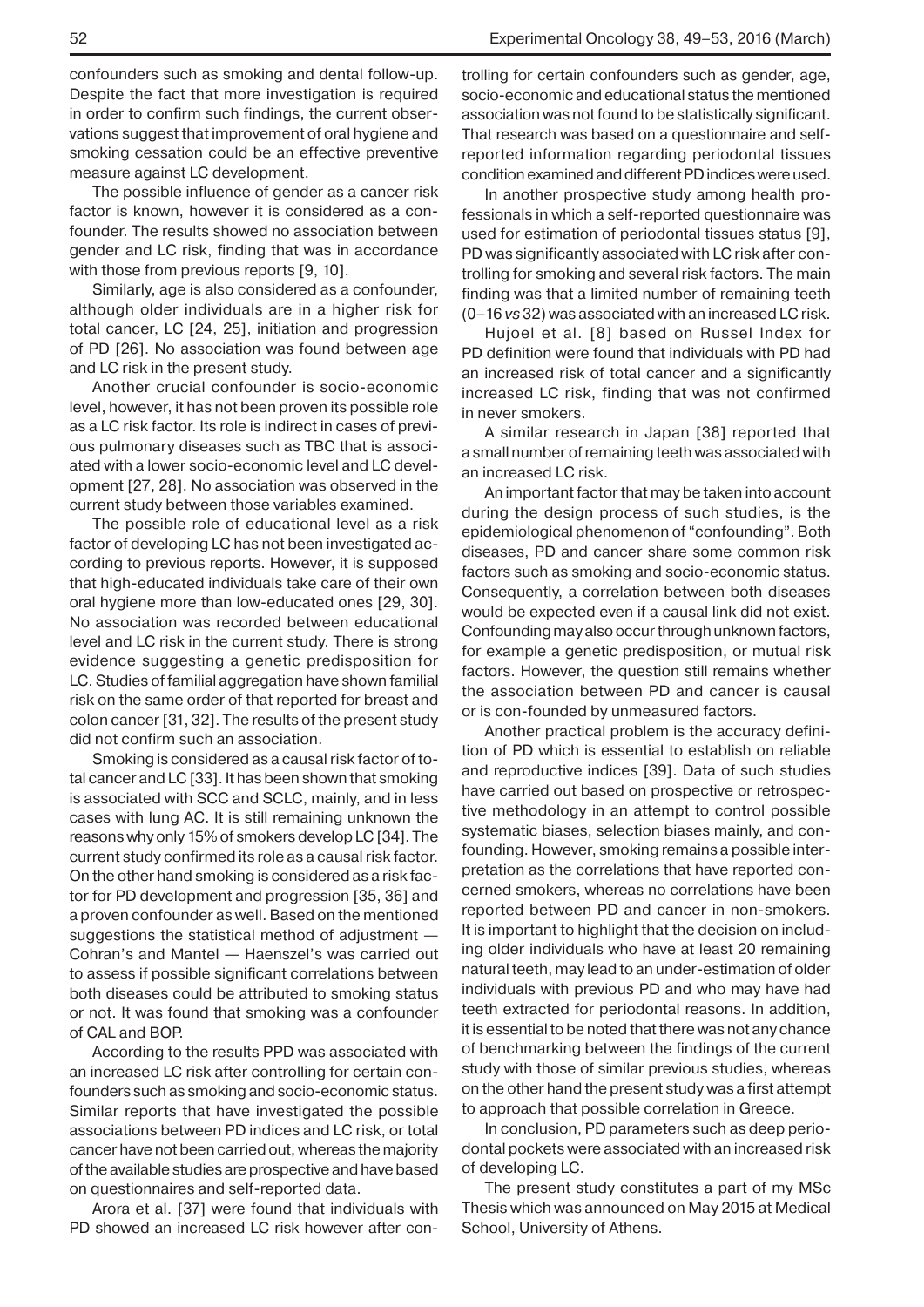confounders such as smoking and dental follow-up. Despite the fact that more investigation is required in order to confirm such findings, the current observations suggest that improvement of oral hygiene and smoking cessation could be an effective preventive measure against LC development.

The possible influence of gender as a cancer risk factor is known, however it is considered as a confounder. The results showed no association between gender and LC risk, finding that was in accordance with those from previous reports [9, 10].

Similarly, age is also considered as a confounder, although older individuals are in a higher risk for total cancer, LC [24, 25], initiation and progression of PD [26]. No association was found between age and LC risk in the present study.

Another crucial confounder is socio-economic level, however, it has not been proven its possible role as a LC risk factor. Its role is indirect in cases of previous pulmonary diseases such as TBC that is associated with a lower socio-economic level and LC development [27, 28]. No association was observed in the current study between those variables examined.

The possible role of educational level as a risk factor of developing LC has not been investigated according to previous reports. However, it is supposed that high-educated individuals take care of their own oral hygiene more than low-educated ones [29, 30]. No association was recorded between educational level and LC risk in the current study. There is strong evidence suggesting a genetic predisposition for LC. Studies of familial aggregation have shown familial risk on the same order of that reported for breast and colon cancer [31, 32]. The results of the present study did not confirm such an association.

Smoking is considered as a causal risk factor of total cancer and LC [33]. It has been shown that smoking is associated with SCC and SCLC, mainly, and in less cases with lung AC. It is still remaining unknown the reasons why only 15% of smokers develop LC [34]. The current study confirmed its role as a causal risk factor. On the other hand smoking is considered as a risk factor for PD development and progression [35, 36] and a proven confounder as well. Based on the mentioned suggestions the statistical method of adjustment — Cohran's and Mantel — Haenszel's was carried out to assess if possible significant correlations between both diseases could be attributed to smoking status or not. It was found that smoking was a confounder of CAL and BOP.

According to the results PPD was associated with an increased LC risk after controlling for certain confounders such as smoking and socio-economic status. Similar reports that have investigated the possible associations between PD indices and LC risk, or total cancer have not been carried out, whereas the majority of the available studies are prospective and have based on questionnaires and self-reported data.

Arora et al. [37] were found that individuals with PD showed an increased LC risk however after controlling for certain confounders such as gender, age, socio-economic and educational status the mentioned association was not found to be statistically significant. That research was based on a questionnaire and selfreported information regarding periodontal tissues condition examined and different PD indices were used.

In another prospective study among health professionals in which a self-reported questionnaire was used for estimation of periodontal tissues status [9], PD was significantly associated with LC risk after controlling for smoking and several risk factors. The main finding was that a limited number of remaining teeth (0–16 *vs* 32) was associated with an increased LC risk.

Hujoel et al. [8] based on Russel Index for PD definition were found that individuals with PD had an increased risk of total cancer and a significantly increased LC risk, finding that was not confirmed in never smokers.

A similar research in Japan [38] reported that a small number of remaining teeth was associated with an increased LC risk.

An important factor that may be taken into account during the design process of such studies, is the epidemiological phenomenon of "confounding". Both diseases, PD and cancer share some common risk factors such as smoking and socio-economic status. Consequently, a correlation between both diseases would be expected even if a causal link did not exist. Confounding may also occur through unknown factors, for example a genetic predisposition, or mutual risk factors. However, the question still remains whether the association between PD and cancer is causal or is con-founded by unmeasured factors.

Another practical problem is the accuracy definition of PD which is essential to establish on reliable and reproductive indices [39]. Data of such studies have carried out based on prospective or retrospective methodology in an attempt to control possible systematic biases, selection biases mainly, and confounding. However, smoking remains a possible interpretation as the correlations that have reported concerned smokers, whereas no correlations have been reported between PD and cancer in non-smokers. It is important to highlight that the decision on including older individuals who have at least 20 remaining natural teeth, may lead to an under-estimation of older individuals with previous PD and who may have had teeth extracted for periodontal reasons. In addition, it is essential to be noted that there was not any chance of benchmarking between the findings of the current study with those of similar previous studies, whereas on the other hand the present study was a first attempt to approach that possible correlation in Greece.

In conclusion, PD parameters such as deep periodontal pockets were associated with an increased risk of developing LC.

The present study constitutes a part of my MSc Thesis which was announced on May 2015 at Medical School, University of Athens.